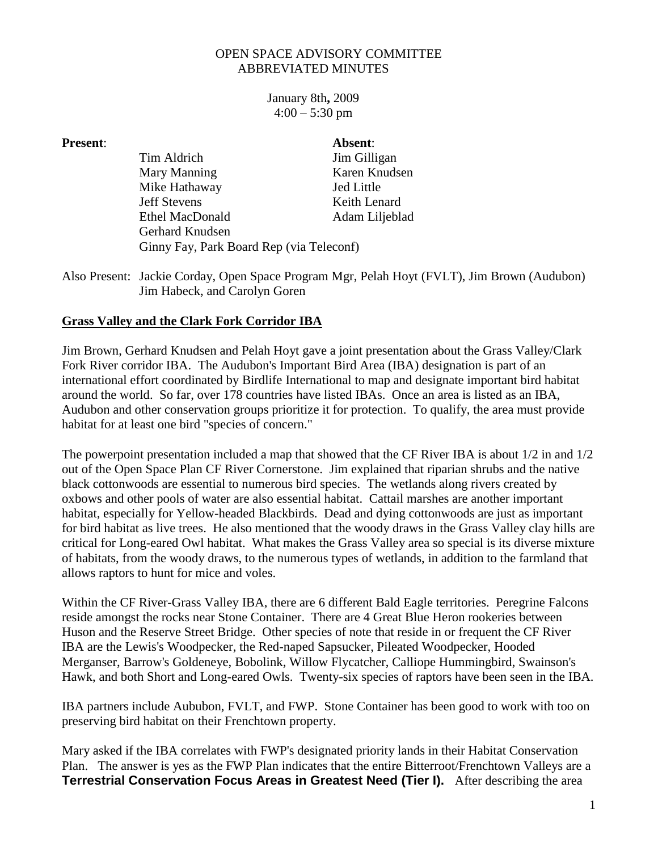## OPEN SPACE ADVISORY COMMITTEE ABBREVIATED MINUTES

January 8th**,** 2009  $4:00 - 5:30$  pm

- **Present**: **Absent**: Tim Aldrich Jim Gilligan Mary Manning Karen Knudsen Mike Hathaway Jed Little Jeff Stevens Keith Lenard Ethel MacDonald Adam Liljeblad Gerhard Knudsen Ginny Fay, Park Board Rep (via Teleconf)
- Also Present: Jackie Corday, Open Space Program Mgr, Pelah Hoyt (FVLT), Jim Brown (Audubon) Jim Habeck, and Carolyn Goren

## **Grass Valley and the Clark Fork Corridor IBA**

Jim Brown, Gerhard Knudsen and Pelah Hoyt gave a joint presentation about the Grass Valley/Clark Fork River corridor IBA. The Audubon's Important Bird Area (IBA) designation is part of an international effort coordinated by Birdlife International to map and designate important bird habitat around the world. So far, over 178 countries have listed IBAs. Once an area is listed as an IBA, Audubon and other conservation groups prioritize it for protection. To qualify, the area must provide habitat for at least one bird "species of concern."

The powerpoint presentation included a map that showed that the CF River IBA is about 1/2 in and 1/2 out of the Open Space Plan CF River Cornerstone. Jim explained that riparian shrubs and the native black cottonwoods are essential to numerous bird species. The wetlands along rivers created by oxbows and other pools of water are also essential habitat. Cattail marshes are another important habitat, especially for Yellow-headed Blackbirds. Dead and dying cottonwoods are just as important for bird habitat as live trees. He also mentioned that the woody draws in the Grass Valley clay hills are critical for Long-eared Owl habitat. What makes the Grass Valley area so special is its diverse mixture of habitats, from the woody draws, to the numerous types of wetlands, in addition to the farmland that allows raptors to hunt for mice and voles.

Within the CF River-Grass Valley IBA, there are 6 different Bald Eagle territories. Peregrine Falcons reside amongst the rocks near Stone Container. There are 4 Great Blue Heron rookeries between Huson and the Reserve Street Bridge. Other species of note that reside in or frequent the CF River IBA are the Lewis's Woodpecker, the Red-naped Sapsucker, Pileated Woodpecker, Hooded Merganser, Barrow's Goldeneye, Bobolink, Willow Flycatcher, Calliope Hummingbird, Swainson's Hawk, and both Short and Long-eared Owls. Twenty-six species of raptors have been seen in the IBA.

IBA partners include Aububon, FVLT, and FWP. Stone Container has been good to work with too on preserving bird habitat on their Frenchtown property.

Mary asked if the IBA correlates with FWP's designated priority lands in their Habitat Conservation Plan. The answer is yes as the FWP Plan indicates that the entire Bitterroot/Frenchtown Valleys are a **Terrestrial Conservation Focus Areas in Greatest Need (Tier I).** After describing the area